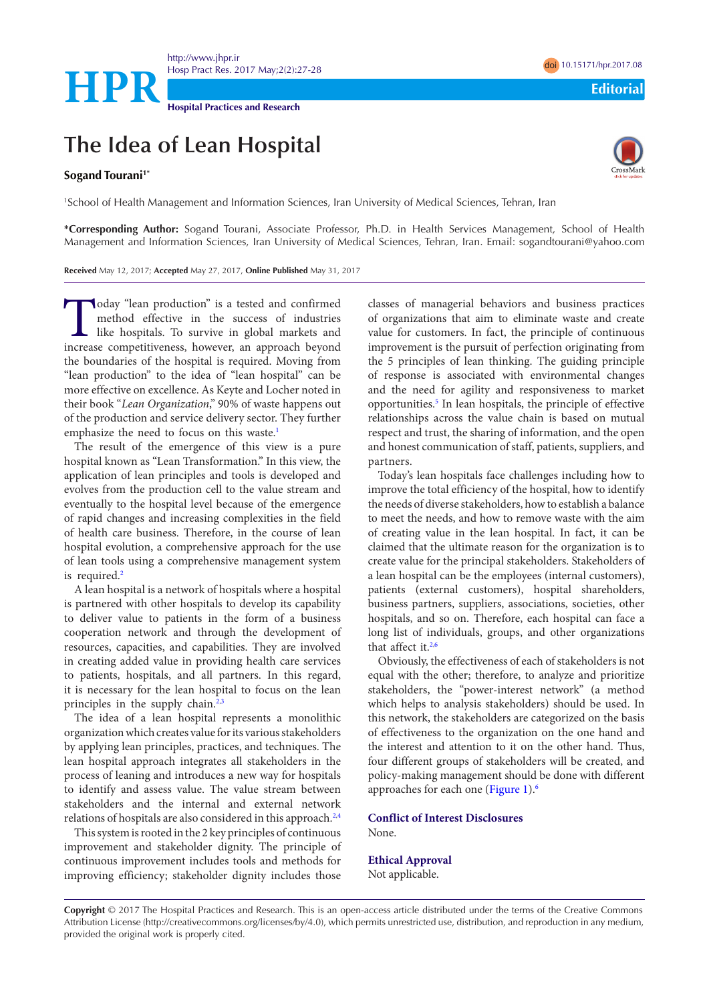<http://www.jhpr.ir> Hosp Pract Res. 2017 May;2(2):27-28 doi [10.15171/hpr.2017.0](http://dx.doi.org/10.15171/hpr.2017.08)8 **HPR**<br>
Hospital Practices and Research<br>
Editorial Practices and Research

**Hospital Practices and Research**

## **The Idea of Lean Hospital**

## Sogand Tourani<sup>1\*</sup>

1 School of Health Management and Information Sciences, Iran University of Medical Sciences, Tehran, Iran

**\*Corresponding Author:** Sogand Tourani, Associate Professor, Ph.D. in Health Services Management, School of Health Management and Information Sciences, Iran University of Medical Sciences, Tehran, Iran. Email: sogandtourani@yahoo.com

**Received** May 12, 2017; **Accepted** May 27, 2017, **Online Published** May 31, 2017

Today "lean production" is a tested and confirmed<br>method effective in the success of industries<br>like hospitals. To survive in global markets and<br>increase competitiveness, however, an approach beyond method effective in the success of industries like hospitals. To survive in global markets and increase competitiveness, however, an approach beyond the boundaries of the hospital is required. Moving from "lean production" to the idea of "lean hospital" can be more effective on excellence. As Keyte and Locher noted in their book "*Lean Organization*," 90% of waste happens out of the production and service delivery sector. They further emphasize the need to focus on this waste.<sup>[1](#page-1-0)</sup>

The result of the emergence of this view is a pure hospital known as "Lean Transformation." In this view, the application of lean principles and tools is developed and evolves from the production cell to the value stream and eventually to the hospital level because of the emergence of rapid changes and increasing complexities in the field of health care business. Therefore, in the course of lean hospital evolution, a comprehensive approach for the use of lean tools using a comprehensive management system is required.<sup>[2](#page-1-1)</sup>

A lean hospital is a network of hospitals where a hospital is partnered with other hospitals to develop its capability to deliver value to patients in the form of a business cooperation network and through the development of resources, capacities, and capabilities. They are involved in creating added value in providing health care services to patients, hospitals, and all partners. In this regard, it is necessary for the lean hospital to focus on the lean principles in the supply chain. $2,3$  $2,3$ 

The idea of a lean hospital represents a monolithic organization which creates value for its various stakeholders by applying lean principles, practices, and techniques. The lean hospital approach integrates all stakeholders in the process of leaning and introduces a new way for hospitals to identify and assess value. The value stream between stakeholders and the internal and external network relations of hospitals are also considered in this approach.<sup>2,[4](#page-1-3)</sup>

This system is rooted in the 2 key principles of continuous improvement and stakeholder dignity. The principle of continuous improvement includes tools and methods for improving efficiency; stakeholder dignity includes those

classes of managerial behaviors and business practices of organizations that aim to eliminate waste and create value for customers. In fact, the principle of continuous improvement is the pursuit of perfection originating from the 5 principles of lean thinking. The guiding principle of response is associated with environmental changes and the need for agility and responsiveness to market opportunities.<sup>5</sup> In lean hospitals, the principle of effective relationships across the value chain is based on mutual respect and trust, the sharing of information, and the open and honest communication of staff, patients, suppliers, and partners.

Today's lean hospitals face challenges including how to improve the total efficiency of the hospital, how to identify the needs of diverse stakeholders, how to establish a balance to meet the needs, and how to remove waste with the aim of creating value in the lean hospital. In fact, it can be claimed that the ultimate reason for the organization is to create value for the principal stakeholders. Stakeholders of a lean hospital can be the employees (internal customers), patients (external customers), hospital shareholders, business partners, suppliers, associations, societies, other hospitals, and so on. Therefore, each hospital can face a long list of individuals, groups, and other organizations that affect it.<sup>[2,](#page-1-1)[6](#page-1-5)</sup>

Obviously, the effectiveness of each of stakeholders is not equal with the other; therefore, to analyze and prioritize stakeholders, the "power-interest network" (a method which helps to analysis stakeholders) should be used. In this network, the stakeholders are categorized on the basis of effectiveness to the organization on the one hand and the interest and attention to it on the other hand. Thus, four different groups of stakeholders will be created, and policy-making management should be done with different approaches for each one ([Figure 1\)](#page-1-6).[6](#page-1-5)

**Conflict of Interest Disclosures** None.

**Ethical Approval** Not applicable.

**Copyright** © 2017 The Hospital Practices and Research. This is an open-access article distributed under the terms of the Creative Commons Attribution License (http://creativecommons.org/licenses/by/4.0), which permits unrestricted use, distribution, and reproduction in any medium, provided the original work is properly cited.